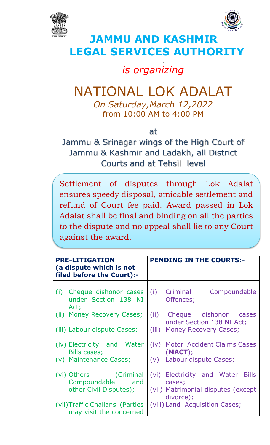



## **JAMMU AND KASHMIR LEGAL SERVICES AUTHORIT**

.

## *is organizing*

## NATIONAL LOK ADALAT

*On Saturday,March 12,2022* from 10:00 AM to 4:00 PM

at

Jammu & Srinagar wings of the High Court of Jammu & Kashmir and Ladakh, all District Courts and at Tehsil level

Settlement of disputes through Lok Adalat ensures speedy disposal, amicable settlement and refund of Court fee paid. Award passed in Lok Adalat shall be final and binding on all the parties to the dispute and no appeal shall lie to any Court against the award.

| <b>PRE-LITIGATION</b><br>(a dispute which is not<br>filed before the Court):- |                                                   |  | <b>PENDING IN THE COURTS:-</b> |                                                         |  |  |
|-------------------------------------------------------------------------------|---------------------------------------------------|--|--------------------------------|---------------------------------------------------------|--|--|
| Act;                                                                          | (i) Cheque dishonor cases<br>under Section 138 NI |  | (i) Criminal<br>Offences;      | Compoundable                                            |  |  |
|                                                                               | (ii) Money Recovery Cases;                        |  |                                | (ii) Cheque dishonor cases<br>under Section 138 NI Act; |  |  |
|                                                                               | (iii) Labour dispute Cases;                       |  |                                | (iii) Money Recovery Cases;                             |  |  |
| Bills cases;                                                                  | (iv) Electricity and Water                        |  | (MACT);                        | (iv) Motor Accident Claims Cases                        |  |  |
|                                                                               | (v) Maintenance Cases;                            |  |                                | (v) Labour dispute Cases;                               |  |  |
|                                                                               | (vi) Others (Criminal<br>Compoundable and         |  | cases;                         | (vi) Electricity and Water Bills                        |  |  |
|                                                                               | other Civil Disputes);                            |  | divorce);                      | (vii) Matrimonial disputes (except                      |  |  |
| (vii) Traffic Challans (Parties<br>may visit the concerned                    |                                                   |  |                                | (viii) Land Acquisition Cases;                          |  |  |